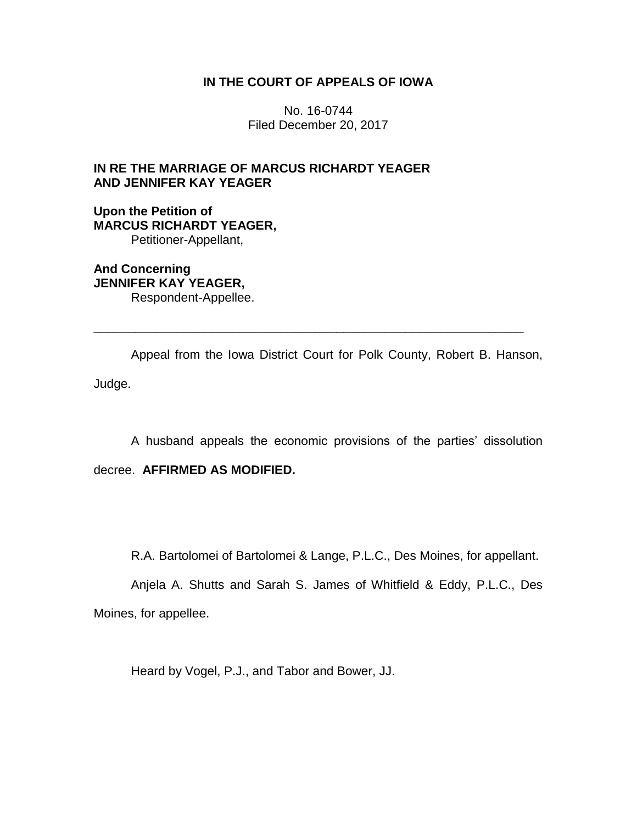## **IN THE COURT OF APPEALS OF IOWA**

No. 16-0744 Filed December 20, 2017

# **IN RE THE MARRIAGE OF MARCUS RICHARDT YEAGER AND JENNIFER KAY YEAGER**

**Upon the Petition of MARCUS RICHARDT YEAGER,** Petitioner-Appellant,

**And Concerning JENNIFER KAY YEAGER,** Respondent-Appellee.

Appeal from the Iowa District Court for Polk County, Robert B. Hanson, Judge.

\_\_\_\_\_\_\_\_\_\_\_\_\_\_\_\_\_\_\_\_\_\_\_\_\_\_\_\_\_\_\_\_\_\_\_\_\_\_\_\_\_\_\_\_\_\_\_\_\_\_\_\_\_\_\_\_\_\_\_\_\_\_

A husband appeals the economic provisions of the parties' dissolution

decree. **AFFIRMED AS MODIFIED.**

R.A. Bartolomei of Bartolomei & Lange, P.L.C., Des Moines, for appellant.

Anjela A. Shutts and Sarah S. James of Whitfield & Eddy, P.L.C., Des Moines, for appellee.

Heard by Vogel, P.J., and Tabor and Bower, JJ.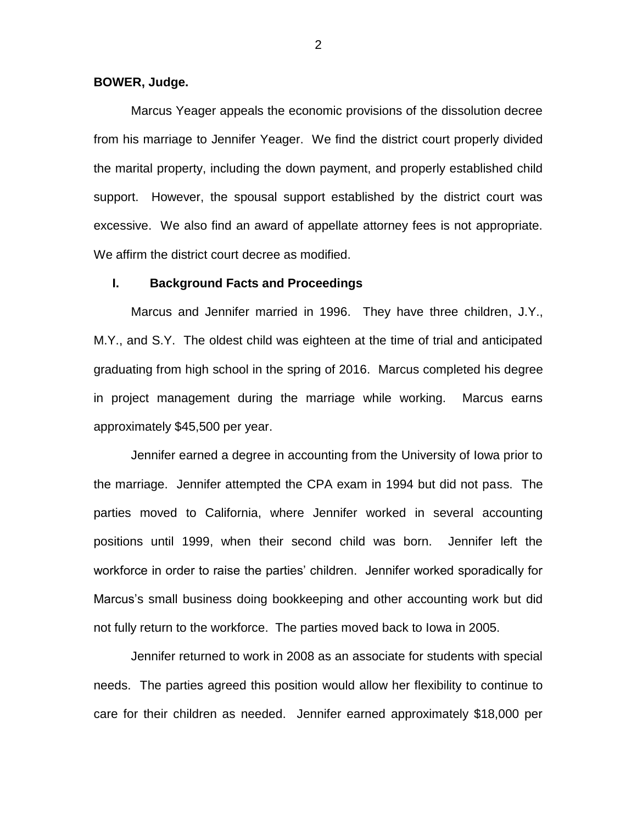#### **BOWER, Judge.**

Marcus Yeager appeals the economic provisions of the dissolution decree from his marriage to Jennifer Yeager. We find the district court properly divided the marital property, including the down payment, and properly established child support. However, the spousal support established by the district court was excessive. We also find an award of appellate attorney fees is not appropriate. We affirm the district court decree as modified.

## **I. Background Facts and Proceedings**

Marcus and Jennifer married in 1996. They have three children, J.Y., M.Y., and S.Y. The oldest child was eighteen at the time of trial and anticipated graduating from high school in the spring of 2016. Marcus completed his degree in project management during the marriage while working. Marcus earns approximately \$45,500 per year.

Jennifer earned a degree in accounting from the University of Iowa prior to the marriage. Jennifer attempted the CPA exam in 1994 but did not pass. The parties moved to California, where Jennifer worked in several accounting positions until 1999, when their second child was born. Jennifer left the workforce in order to raise the parties' children. Jennifer worked sporadically for Marcus's small business doing bookkeeping and other accounting work but did not fully return to the workforce. The parties moved back to Iowa in 2005.

Jennifer returned to work in 2008 as an associate for students with special needs. The parties agreed this position would allow her flexibility to continue to care for their children as needed. Jennifer earned approximately \$18,000 per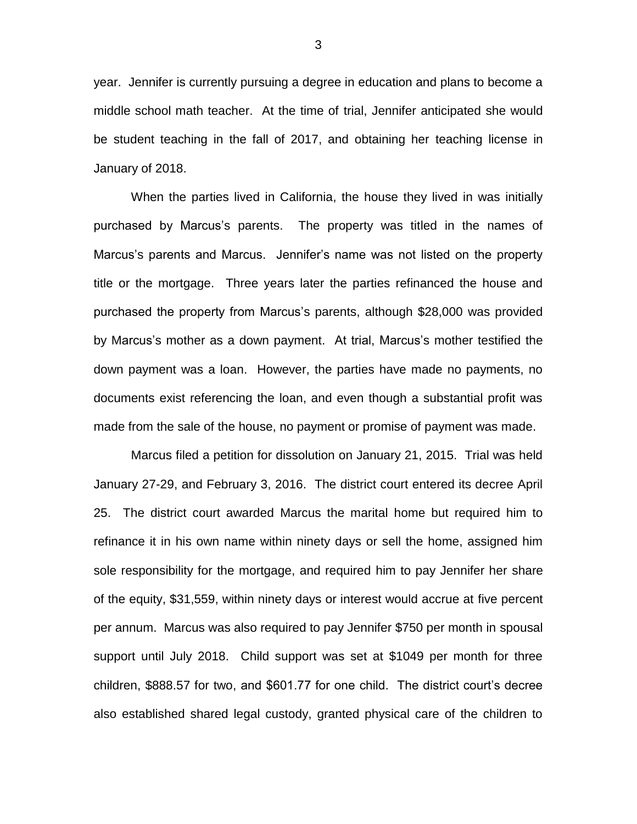year. Jennifer is currently pursuing a degree in education and plans to become a middle school math teacher. At the time of trial, Jennifer anticipated she would be student teaching in the fall of 2017, and obtaining her teaching license in January of 2018.

When the parties lived in California, the house they lived in was initially purchased by Marcus's parents. The property was titled in the names of Marcus's parents and Marcus. Jennifer's name was not listed on the property title or the mortgage. Three years later the parties refinanced the house and purchased the property from Marcus's parents, although \$28,000 was provided by Marcus's mother as a down payment. At trial, Marcus's mother testified the down payment was a loan. However, the parties have made no payments, no documents exist referencing the loan, and even though a substantial profit was made from the sale of the house, no payment or promise of payment was made.

Marcus filed a petition for dissolution on January 21, 2015. Trial was held January 27-29, and February 3, 2016. The district court entered its decree April 25. The district court awarded Marcus the marital home but required him to refinance it in his own name within ninety days or sell the home, assigned him sole responsibility for the mortgage, and required him to pay Jennifer her share of the equity, \$31,559, within ninety days or interest would accrue at five percent per annum. Marcus was also required to pay Jennifer \$750 per month in spousal support until July 2018. Child support was set at \$1049 per month for three children, \$888.57 for two, and \$601.77 for one child. The district court's decree also established shared legal custody, granted physical care of the children to

3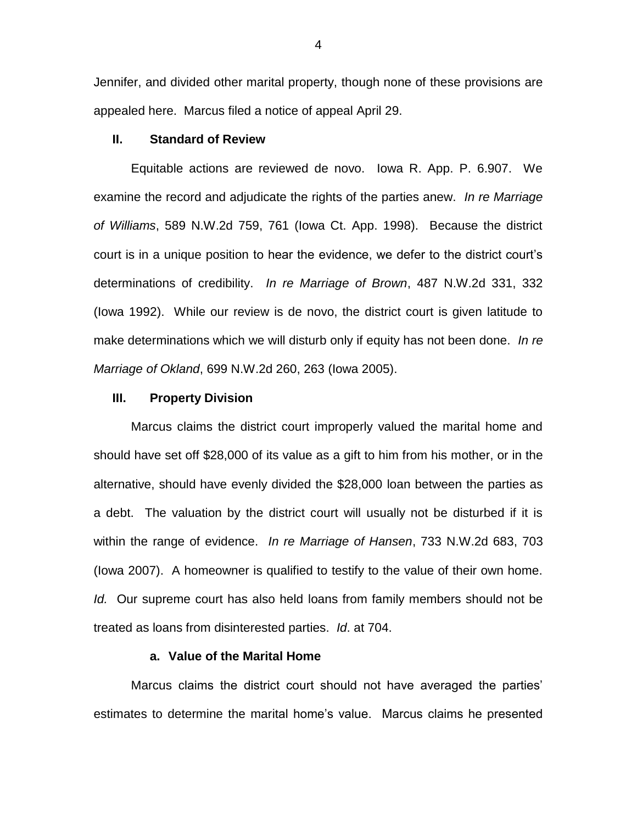Jennifer, and divided other marital property, though none of these provisions are appealed here. Marcus filed a notice of appeal April 29.

## **II. Standard of Review**

Equitable actions are reviewed de novo. Iowa R. App. P. 6.907. We examine the record and adjudicate the rights of the parties anew. *In re Marriage of Williams*, 589 N.W.2d 759, 761 (Iowa Ct. App. 1998). Because the district court is in a unique position to hear the evidence, we defer to the district court's determinations of credibility. *In re Marriage of Brown*, 487 N.W.2d 331, 332 (Iowa 1992). While our review is de novo, the district court is given latitude to make determinations which we will disturb only if equity has not been done. *In re Marriage of Okland*, 699 N.W.2d 260, 263 (Iowa 2005).

#### **III. Property Division**

Marcus claims the district court improperly valued the marital home and should have set off \$28,000 of its value as a gift to him from his mother, or in the alternative, should have evenly divided the \$28,000 loan between the parties as a debt. The valuation by the district court will usually not be disturbed if it is within the range of evidence. *In re Marriage of Hansen*, 733 N.W.2d 683, 703 (Iowa 2007). A homeowner is qualified to testify to the value of their own home. *Id.* Our supreme court has also held loans from family members should not be treated as loans from disinterested parties. *Id*. at 704.

## **a. Value of the Marital Home**

Marcus claims the district court should not have averaged the parties' estimates to determine the marital home's value. Marcus claims he presented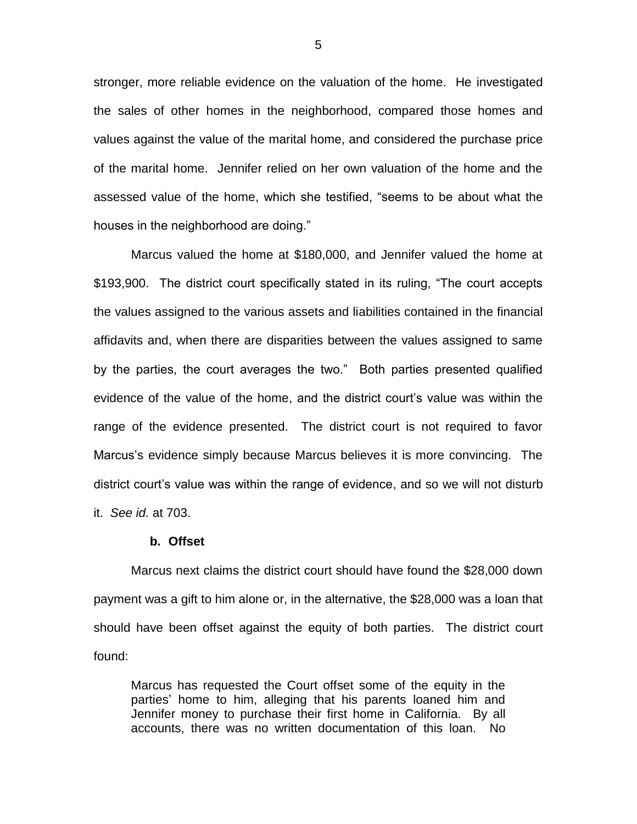stronger, more reliable evidence on the valuation of the home. He investigated the sales of other homes in the neighborhood, compared those homes and values against the value of the marital home, and considered the purchase price of the marital home. Jennifer relied on her own valuation of the home and the assessed value of the home, which she testified, "seems to be about what the houses in the neighborhood are doing."

Marcus valued the home at \$180,000, and Jennifer valued the home at \$193,900. The district court specifically stated in its ruling, "The court accepts the values assigned to the various assets and liabilities contained in the financial affidavits and, when there are disparities between the values assigned to same by the parties, the court averages the two." Both parties presented qualified evidence of the value of the home, and the district court's value was within the range of the evidence presented. The district court is not required to favor Marcus's evidence simply because Marcus believes it is more convincing. The district court's value was within the range of evidence, and so we will not disturb it. *See id.* at 703.

#### **b. Offset**

Marcus next claims the district court should have found the \$28,000 down payment was a gift to him alone or, in the alternative, the \$28,000 was a loan that should have been offset against the equity of both parties. The district court found:

Marcus has requested the Court offset some of the equity in the parties' home to him, alleging that his parents loaned him and Jennifer money to purchase their first home in California. By all accounts, there was no written documentation of this loan. No

5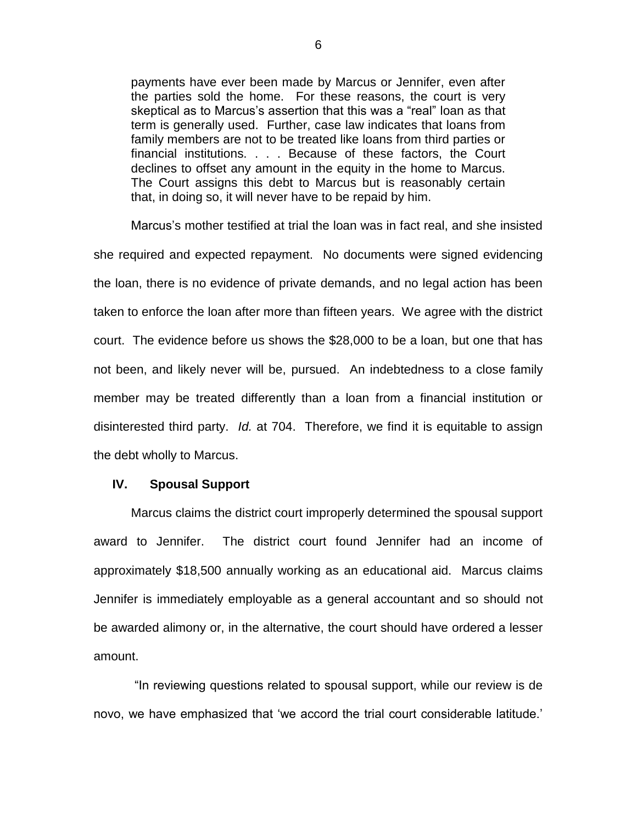payments have ever been made by Marcus or Jennifer, even after the parties sold the home. For these reasons, the court is very skeptical as to Marcus's assertion that this was a "real" loan as that term is generally used. Further, case law indicates that loans from family members are not to be treated like loans from third parties or financial institutions. . . . Because of these factors, the Court declines to offset any amount in the equity in the home to Marcus. The Court assigns this debt to Marcus but is reasonably certain that, in doing so, it will never have to be repaid by him.

Marcus's mother testified at trial the loan was in fact real, and she insisted she required and expected repayment. No documents were signed evidencing the loan, there is no evidence of private demands, and no legal action has been taken to enforce the loan after more than fifteen years. We agree with the district court. The evidence before us shows the \$28,000 to be a loan, but one that has not been, and likely never will be, pursued. An indebtedness to a close family member may be treated differently than a loan from a financial institution or disinterested third party. *Id.* at 704. Therefore, we find it is equitable to assign the debt wholly to Marcus.

#### **IV. Spousal Support**

Marcus claims the district court improperly determined the spousal support award to Jennifer. The district court found Jennifer had an income of approximately \$18,500 annually working as an educational aid. Marcus claims Jennifer is immediately employable as a general accountant and so should not be awarded alimony or, in the alternative, the court should have ordered a lesser amount.

"In reviewing questions related to spousal support, while our review is de novo, we have emphasized that 'we accord the trial court considerable latitude.'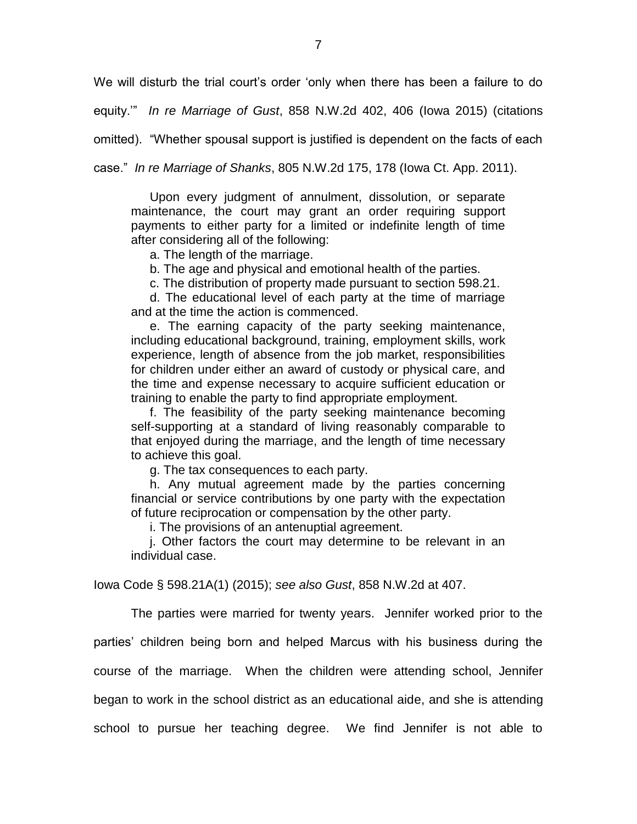We will disturb the trial court's order 'only when there has been a failure to do

equity.'" *In re Marriage of Gust*, 858 N.W.2d 402, 406 (Iowa 2015) (citations

omitted). "Whether spousal support is justified is dependent on the facts of each

case." *In re Marriage of Shanks*, 805 N.W.2d 175, 178 (Iowa Ct. App. 2011).

Upon every judgment of annulment, dissolution, or separate maintenance, the court may grant an order requiring support payments to either party for a limited or indefinite length of time after considering all of the following:

a. The length of the marriage.

b. The age and physical and emotional health of the parties.

c. The distribution of property made pursuant to section 598.21.

d. The educational level of each party at the time of marriage and at the time the action is commenced.

e. The earning capacity of the party seeking maintenance, including educational background, training, employment skills, work experience, length of absence from the job market, responsibilities for children under either an award of custody or physical care, and the time and expense necessary to acquire sufficient education or training to enable the party to find appropriate employment.

f. The feasibility of the party seeking maintenance becoming self-supporting at a standard of living reasonably comparable to that enjoyed during the marriage, and the length of time necessary to achieve this goal.

g. The tax consequences to each party.

h. Any mutual agreement made by the parties concerning financial or service contributions by one party with the expectation of future reciprocation or compensation by the other party.

i. The provisions of an antenuptial agreement.

j. Other factors the court may determine to be relevant in an individual case.

Iowa Code § 598.21A(1) (2015); *see also Gust*, 858 N.W.2d at 407.

The parties were married for twenty years. Jennifer worked prior to the parties' children being born and helped Marcus with his business during the course of the marriage. When the children were attending school, Jennifer began to work in the school district as an educational aide, and she is attending school to pursue her teaching degree. We find Jennifer is not able to